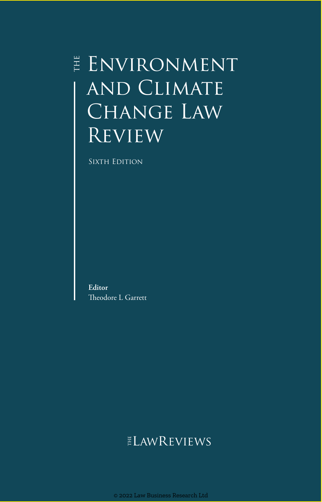# $\parallel$  ENVIRONMENT and Climate CHANGE LAW **REVIEW**

SIXTH EDITION

**Editor** Theodore L Garrett

## ELAWREVIEWS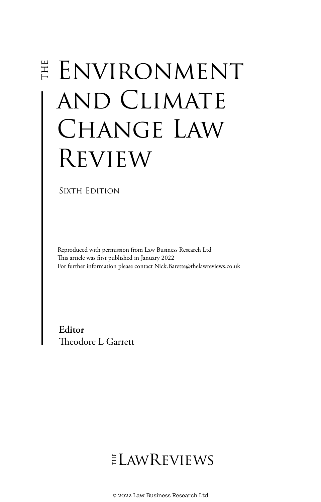# E ENVIRONMENT and Climate Change Law Review

#### SIXTH EDITION

Reproduced with permission from Law Business Research Ltd This article was first published in January 2022 For further information please contact Nick.Barette@thelawreviews.co.uk

**Editor** Theodore L Garrett

ELAWREVIEWS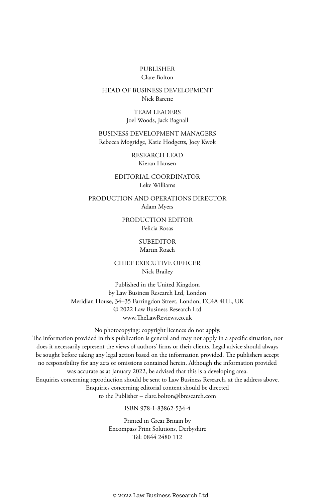#### PUBLISHER Clare Bolton

#### HEAD OF BUSINESS DEVELOPMENT Nick Barette

TEAM LEADERS Joel Woods, Jack Bagnall

BUSINESS DEVELOPMENT MANAGERS Rebecca Mogridge, Katie Hodgetts, Joey Kwok

> RESEARCH LEAD Kieran Hansen

EDITORIAL COORDINATOR Leke Williams

PRODUCTION AND OPERATIONS DIRECTOR Adam Myers

> PRODUCTION EDITOR Felicia Rosas

#### **SUBEDITOR**

#### Martin Roach

CHIEF EXECUTIVE OFFICER Nick Brailey

Published in the United Kingdom by Law Business Research Ltd, London Meridian House, 34–35 Farringdon Street, London, EC4A 4HL, UK © 2022 Law Business Research Ltd www.TheLawReviews.co.uk

No photocopying: copyright licences do not apply. The information provided in this publication is general and may not apply in a specific situation, nor does it necessarily represent the views of authors' firms or their clients. Legal advice should always be sought before taking any legal action based on the information provided. The publishers accept no responsibility for any acts or omissions contained herein. Although the information provided was accurate as at January 2022, be advised that this is a developing area. Enquiries concerning reproduction should be sent to Law Business Research, at the address above. Enquiries concerning editorial content should be directed to the Publisher – clare.bolton@lbresearch.com

ISBN 978-1-83862-534-4

Printed in Great Britain by Encompass Print Solutions, Derbyshire Tel: 0844 2480 112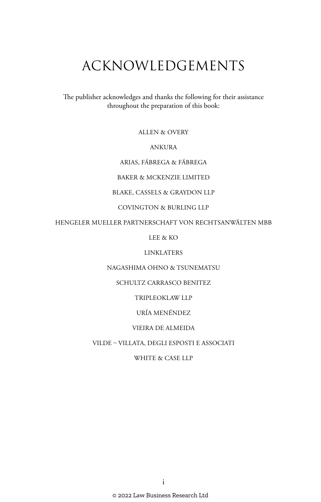# ACKNOWLEDGEMENTS

The publisher acknowledges and thanks the following for their assistance throughout the preparation of this book:

ALLEN & OVERY

#### ANKURA

ARIAS, FÁBREGA & FÁBREGA

BAKER & MCKENZIE LIMITED

#### BLAKE, CASSELS & GRAYDON LLP

COVINGTON & BURLING LLP

HENGELER MUELLER PARTNERSCHAFT VON RECHTSANWÄLTEN MBB

LEE & KO

LINKLATERS

NAGASHIMA OHNO & TSUNEMATSU

SCHULTZ CARRASCO BENITEZ

TRIPLEOKLAW LLP

URÍA MENÉNDEZ

#### VIEIRA DE ALMEIDA

#### VILDE – VILLATA, DEGLI ESPOSTI E ASSOCIATI

WHITE & CASE LLP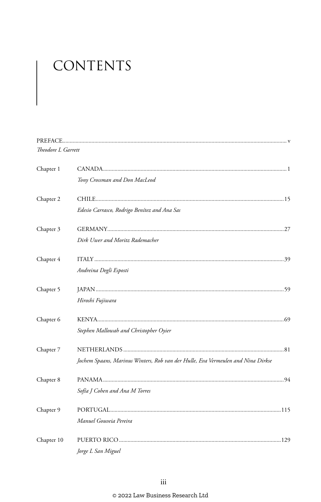# CONTENTS

| Theodore L Garrett |                                                                                  |
|--------------------|----------------------------------------------------------------------------------|
| Chapter 1          |                                                                                  |
|                    | Tony Crossman and Don MacLeod                                                    |
| Chapter 2          |                                                                                  |
|                    | Edesio Carrasco, Rodrigo Benítez and Ana Sas                                     |
| Chapter 3          |                                                                                  |
|                    | Dirk Uwer and Moritz Rademacher                                                  |
| Chapter 4          |                                                                                  |
|                    | Andreina Degli Esposti                                                           |
| Chapter 5          |                                                                                  |
|                    | Hiroshi Fujiwara                                                                 |
| Chapter 6          |                                                                                  |
|                    | Stephen Mallowah and Christopher Oyier                                           |
| Chapter 7          |                                                                                  |
|                    | Jochem Spaans, Marinus Winters, Rob van der Hulle, Eva Vermeulen and Nina Dirkse |
| Chapter 8          |                                                                                  |
|                    | Sofía J Cohen and Ana M Torres                                                   |
| Chapter 9          |                                                                                  |
|                    | Manuel Gouveia Pereira                                                           |
| Chapter 10         |                                                                                  |
|                    | Jorge L San Miguel                                                               |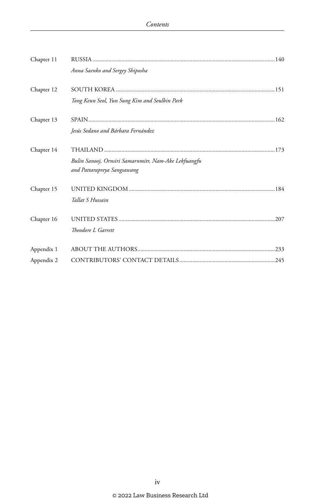| Chapter 11 | Anna Saenko and Sergey Shiposha                                                     |  |
|------------|-------------------------------------------------------------------------------------|--|
| Chapter 12 | Tong Keun Seol, Yun Sung Kim and Seulbin Park                                       |  |
| Chapter 13 | Jesús Sedano and Bárbara Fernández                                                  |  |
| Chapter 14 | Bulin Sanooj, Ornsiri Samarnmitr, Nam-Ake Lekfuangfu<br>and Pattarapreya Sangsawang |  |
| Chapter 15 | Tallat S Hussain                                                                    |  |
| Chapter 16 | Theodore L Garrett                                                                  |  |
| Appendix 1 |                                                                                     |  |
| Appendix 2 |                                                                                     |  |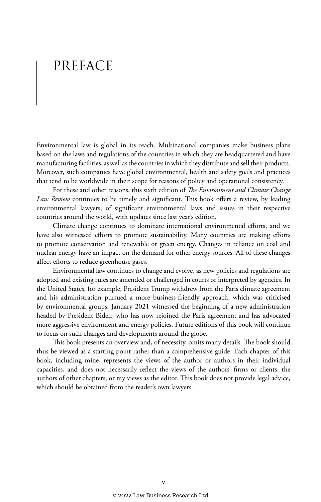# PREFACE

Environmental law is global in its reach. Multinational companies make business plans based on the laws and regulations of the countries in which they are headquartered and have manufacturing facilities, as well as the countries in which they distribute and sell their products. Moreover, such companies have global environmental, health and safety goals and practices that tend to be worldwide in their scope for reasons of policy and operational consistency.

For these and other reasons, this sixth edition of *The Environment and Climate Change Law Review* continues to be timely and significant. This book offers a review, by leading environmental lawyers, of significant environmental laws and issues in their respective countries around the world, with updates since last year's edition.

Climate change continues to dominate international environmental efforts, and we have also witnessed efforts to promote sustainability. Many countries are making efforts to promote conservation and renewable or green energy. Changes in reliance on coal and nuclear energy have an impact on the demand for other energy sources. All of these changes affect efforts to reduce greenhouse gases.

Environmental law continues to change and evolve, as new policies and regulations are adopted and existing rules are amended or challenged in courts or interpreted by agencies. In the United States, for example, President Trump withdrew from the Paris climate agreement and his administration pursued a more business-friendly approach, which was criticised by environmental groups. January 2021 witnessed the beginning of a new administration headed by President Biden, who has now rejoined the Paris agreement and has advocated more aggressive environment and energy policies. Future editions of this book will continue to focus on such changes and developments around the globe.

This book presents an overview and, of necessity, omits many details. The book should thus be viewed as a starting point rather than a comprehensive guide. Each chapter of this book, including mine, represents the views of the author or authors in their individual capacities, and does not necessarily reflect the views of the authors' firms or clients, the authors of other chapters, or my views as the editor. This book does not provide legal advice, which should be obtained from the reader's own lawyers.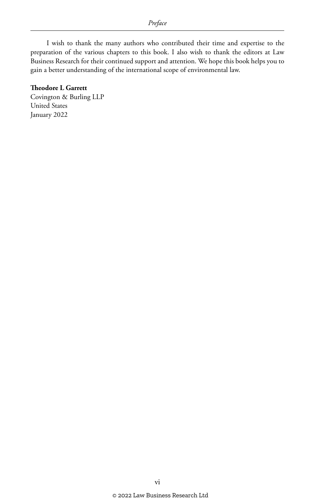I wish to thank the many authors who contributed their time and expertise to the preparation of the various chapters to this book. I also wish to thank the editors at Law Business Research for their continued support and attention. We hope this book helps you to gain a better understanding of the international scope of environmental law.

#### **Theodore L Garrett**

Covington & Burling LLP United States January 2022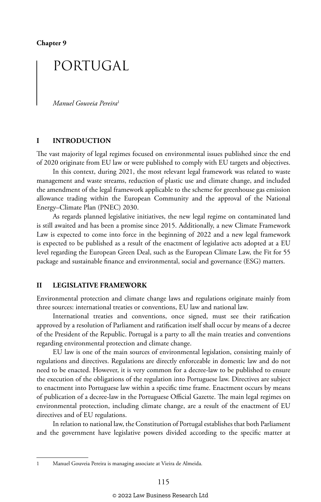## PORTUGAL

*Manuel Gouveia Pereira*<sup>1</sup>

#### **I INTRODUCTION**

The vast majority of legal regimes focused on environmental issues published since the end of 2020 originate from EU law or were published to comply with EU targets and objectives.

In this context, during 2021, the most relevant legal framework was related to waste management and waste streams, reduction of plastic use and climate change, and included the amendment of the legal framework applicable to the scheme for greenhouse gas emission allowance trading within the European Community and the approval of the National Energy–Climate Plan (PNEC) 2030.

As regards planned legislative initiatives, the new legal regime on contaminated land is still awaited and has been a promise since 2015. Additionally, a new Climate Framework Law is expected to come into force in the beginning of 2022 and a new legal framework is expected to be published as a result of the enactment of legislative acts adopted at a EU level regarding the European Green Deal, such as the European Climate Law, the Fit for 55 package and sustainable finance and environmental, social and governance (ESG) matters.

#### **II LEGISLATIVE FRAMEWORK**

Environmental protection and climate change laws and regulations originate mainly from three sources: international treaties or conventions, EU law and national law.

International treaties and conventions, once signed, must see their ratification approved by a resolution of Parliament and ratification itself shall occur by means of a decree of the President of the Republic. Portugal is a party to all the main treaties and conventions regarding environmental protection and climate change.

EU law is one of the main sources of environmental legislation, consisting mainly of regulations and directives. Regulations are directly enforceable in domestic law and do not need to be enacted. However, it is very common for a decree-law to be published to ensure the execution of the obligations of the regulation into Portuguese law. Directives are subject to enactment into Portuguese law within a specific time frame. Enactment occurs by means of publication of a decree-law in the Portuguese Official Gazette. The main legal regimes on environmental protection, including climate change, are a result of the enactment of EU directives and of EU regulations.

In relation to national law, the Constitution of Portugal establishes that both Parliament and the government have legislative powers divided according to the specific matter at

<sup>1</sup> Manuel Gouveia Pereira is managing associate at Vieira de Almeida.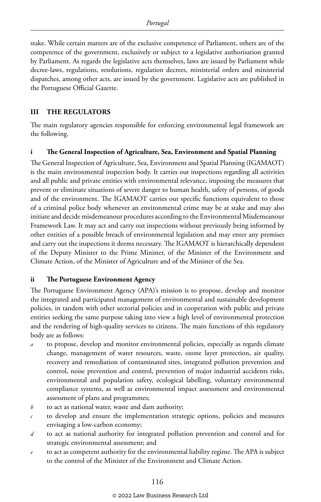stake. While certain matters are of the exclusive competence of Parliament, others are of the competence of the government, exclusively or subject to a legislative authorisation granted by Parliament. As regards the legislative acts themselves, laws are issued by Parliament while decree-laws, regulations, resolutions, regulation decrees, ministerial orders and ministerial dispatches, among other acts, are issued by the government. Legislative acts are published in the Portuguese Official Gazette.

#### **III THE REGULATORS**

The main regulatory agencies responsible for enforcing environmental legal framework are the following.

#### **i The General Inspection of Agriculture, Sea, Environment and Spatial Planning**

The General Inspection of Agriculture, Sea, Environment and Spatial Planning (IGAMAOT) is the main environmental inspection body. It carries out inspections regarding all activities and all public and private entities with environmental relevance, imposing the measures that prevent or eliminate situations of severe danger to human health, safety of persons, of goods and of the environment. The IGAMAOT carries out specific functions equivalent to those of a criminal police body whenever an environmental crime may be at stake and may also initiate and decide misdemeanour procedures according to the Environmental Misdemeanour Framework Law. It may act and carry out inspections without previously being informed by other entities of a possible breach of environmental legislation and may enter any premises and carry out the inspections it deems necessary. The IGAMAOT is hierarchically dependent of the Deputy Minister to the Prime Minister, of the Minister of the Environment and Climate Action, of the Minister of Agriculture and of the Minister of the Sea.

#### **ii The Portuguese Environment Agency**

The Portuguese Environment Agency (APA)'s mission is to propose, develop and monitor the integrated and participated management of environmental and sustainable development policies, in tandem with other sectorial policies and in cooperation with public and private entities seeking the same purpose taking into view a high level of environmental protection and the rendering of high-quality services to citizens. The main functions of this regulatory body are as follows:

- to propose, develop and monitor environmental policies, especially as regards climate change, management of water resources, waste, ozone layer protection, air quality, recovery and remediation of contaminated sites, integrated pollution prevention and control, noise prevention and control, prevention of major industrial accidents risks, environmental and population safety, ecological labelling, voluntary environmental compliance systems, as well as environmental impact assessment and environmental assessment of plans and programmes;
- *b* to act as national water, waste and dam authority;
- *c* to develop and ensure the implementation strategic options, policies and measures envisaging a low-carbon economy;
- *d* to act as national authority for integrated pollution prevention and control and for strategic environmental assessment; and
- *e* to act as competent authority for the environmental liability regime. The APA is subject to the control of the Minister of the Environment and Climate Action.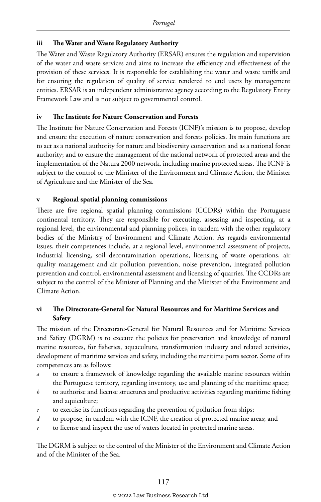#### **iii The Water and Waste Regulatory Authority**

The Water and Waste Regulatory Authority (ERSAR) ensures the regulation and supervision of the water and waste services and aims to increase the efficiency and effectiveness of the provision of these services. It is responsible for establishing the water and waste tariffs and for ensuring the regulation of quality of service rendered to end users by management entities. ERSAR is an independent administrative agency according to the Regulatory Entity Framework Law and is not subject to governmental control.

#### **iv The Institute for Nature Conservation and Forests**

The Institute for Nature Conservation and Forests (ICNF)'s mission is to propose, develop and ensure the execution of nature conservation and forests policies. Its main functions are to act as a national authority for nature and biodiversity conservation and as a national forest authority; and to ensure the management of the national network of protected areas and the implementation of the Natura 2000 network, including marine protected areas. The ICNF is subject to the control of the Minister of the Environment and Climate Action, the Minister of Agriculture and the Minister of the Sea.

#### **v Regional spatial planning commissions**

There are five regional spatial planning commissions (CCDRs) within the Portuguese continental territory. They are responsible for executing, assessing and inspecting, at a regional level, the environmental and planning polices, in tandem with the other regulatory bodies of the Ministry of Environment and Climate Action. As regards environmental issues, their competences include, at a regional level, environmental assessment of projects, industrial licensing, soil decontamination operations, licensing of waste operations, air quality management and air pollution prevention, noise prevention, integrated pollution prevention and control, environmental assessment and licensing of quarries. The CCDRs are subject to the control of the Minister of Planning and the Minister of the Environment and Climate Action.

#### **vi The Directorate-General for Natural Resources and for Maritime Services and Safety**

The mission of the Directorate-General for Natural Resources and for Maritime Services and Safety (DGRM) is to execute the policies for preservation and knowledge of natural marine resources, for fisheries, aquaculture, transformation industry and related activities, development of maritime services and safety, including the maritime ports sector. Some of its competences are as follows:

- *a* to ensure a framework of knowledge regarding the available marine resources within the Portuguese territory, regarding inventory, use and planning of the maritime space;
- *b* to authorise and license structures and productive activities regarding maritime fishing and aquiculture;
- *c* to exercise its functions regarding the prevention of pollution from ships;
- *d* to propose, in tandem with the ICNF, the creation of protected marine areas; and
- to license and inspect the use of waters located in protected marine areas.

The DGRM is subject to the control of the Minister of the Environment and Climate Action and of the Minister of the Sea.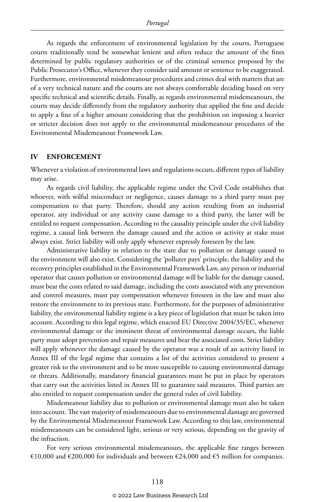As regards the enforcement of environmental legislation by the courts, Portuguese courts traditionally tend be somewhat lenient and often reduce the amount of the fines determined by public regulatory authorities or of the criminal sentence proposed by the Public Prosecutor's Office, whenever they consider said amount or sentence to be exaggerated. Furthermore, environmental misdemeanour procedures and crimes deal with matters that are of a very technical nature and the courts are not always comfortable deciding based on very specific technical and scientific details. Finally, as regards environmental misdemeanours, the courts may decide differently from the regulatory authority that applied the fine and decide to apply a fine of a higher amount considering that the prohibition on imposing a heavier or stricter decision does not apply to the environmental misdemeanour procedures of the Environmental Misdemeanour Framework Law.

#### **IV ENFORCEMENT**

Whenever a violation of environmental laws and regulations occurs, different types of liability may arise.

As regards civil liability, the applicable regime under the Civil Code establishes that whoever, with wilful misconduct or negligence, causes damage to a third party must pay compensation to that party. Therefore, should any action resulting from an industrial operator, any individual or any activity cause damage to a third party, the latter will be entitled to request compensation. According to the causality principle under the civil liability regime, a causal link between the damage caused and the action or activity at stake must always exist. Strict liability will only apply whenever expressly foreseen by the law.

Administrative liability in relation to the state due to pollution or damage caused to the environment will also exist. Considering the 'polluter pays' principle, the liability and the recovery principles established in the Environmental Framework Law, any person or industrial operator that causes pollution or environmental damage will be liable for the damage caused, must bear the costs related to said damage, including the costs associated with any prevention and control measures, must pay compensation whenever foreseen in the law and must also restore the environment to its previous state. Furthermore, for the purposes of administrative liability, the environmental liability regime is a key piece of legislation that must be taken into account. According to this legal regime, which enacted EU Directive 2004/35/EC, whenever environmental damage or the imminent threat of environmental damage occurs, the liable party must adopt prevention and repair measures and bear the associated costs. Strict liability will apply whenever the damage caused by the operator was a result of an activity listed in Annex III of the legal regime that contains a list of the activities considered to present a greater risk to the environment and to be more susceptible to causing environmental damage or threats. Additionally, mandatory financial guarantees must be put in place by operators that carry out the activities listed in Annex III to guarantee said measures. Third parties are also entitled to request compensation under the general rules of civil liability.

Misdemeanour liability due to pollution or environmental damage must also be taken into account. The vast majority of misdemeanours due to environmental damage are governed by the Environmental Misdemeanour Framework Law. According to this law, environmental misdemeanours can be considered light, serious or very serious, depending on the gravity of the infraction.

For very serious environmental misdemeanours, the applicable fine ranges between €10,000 and €200,000 for individuals and between €24,000 and €5 million for companies.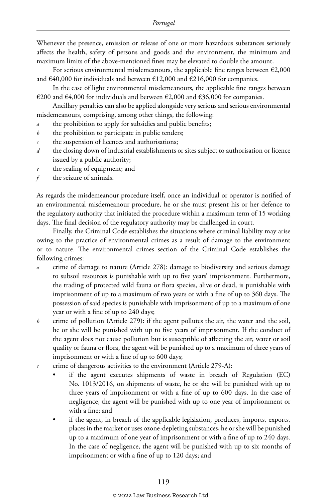Whenever the presence, emission or release of one or more hazardous substances seriously affects the health, safety of persons and goods and the environment, the minimum and maximum limits of the above-mentioned fines may be elevated to double the amount.

For serious environmental misdemeanours, the applicable fine ranges between  $\epsilon$ 2,000 and €40,000 for individuals and between €12,000 and €216,000 for companies.

In the case of light environmental misdemeanours, the applicable fine ranges between €200 and €4,000 for individuals and between €2,000 and €36,000 for companies.

Ancillary penalties can also be applied alongside very serious and serious environmental misdemeanours, comprising, among other things, the following:

- *a* the prohibition to apply for subsidies and public benefits;
- *b* the prohibition to participate in public tenders;
- *c* the suspension of licences and authorisations;
- *d* the closing down of industrial establishments or sites subject to authorisation or licence issued by a public authority;
- the sealing of equipment; and
- *f* the seizure of animals.

As regards the misdemeanour procedure itself, once an individual or operator is notified of an environmental misdemeanour procedure, he or she must present his or her defence to the regulatory authority that initiated the procedure within a maximum term of 15 working days. The final decision of the regulatory authority may be challenged in court.

Finally, the Criminal Code establishes the situations where criminal liability may arise owing to the practice of environmental crimes as a result of damage to the environment or to nature. The environmental crimes section of the Criminal Code establishes the following crimes:

- *a* crime of damage to nature (Article 278): damage to biodiversity and serious damage to subsoil resources is punishable with up to five years' imprisonment. Furthermore, the trading of protected wild fauna or flora species, alive or dead, is punishable with imprisonment of up to a maximum of two years or with a fine of up to 360 days. The possession of said species is punishable with imprisonment of up to a maximum of one year or with a fine of up to 240 days;
- *b* crime of pollution (Article 279): if the agent pollutes the air, the water and the soil, he or she will be punished with up to five years of imprisonment. If the conduct of the agent does not cause pollution but is susceptible of affecting the air, water or soil quality or fauna or flora, the agent will be punished up to a maximum of three years of imprisonment or with a fine of up to 600 days;
- *c* crime of dangerous activities to the environment (Article 279-A):
	- if the agent executes shipments of waste in breach of Regulation (EC) No. 1013/2016, on shipments of waste, he or she will be punished with up to three years of imprisonment or with a fine of up to 600 days. In the case of negligence, the agent will be punished with up to one year of imprisonment or with a fine; and
	- if the agent, in breach of the applicable legislation, produces, imports, exports, places in the market or uses ozone-depleting substances, he or she will be punished up to a maximum of one year of imprisonment or with a fine of up to 240 days. In the case of negligence, the agent will be punished with up to six months of imprisonment or with a fine of up to 120 days; and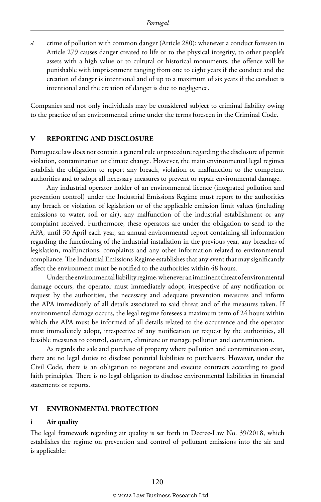*d* crime of pollution with common danger (Article 280): whenever a conduct foreseen in Article 279 causes danger created to life or to the physical integrity, to other people's assets with a high value or to cultural or historical monuments, the offence will be punishable with imprisonment ranging from one to eight years if the conduct and the creation of danger is intentional and of up to a maximum of six years if the conduct is intentional and the creation of danger is due to negligence.

Companies and not only individuals may be considered subject to criminal liability owing to the practice of an environmental crime under the terms foreseen in the Criminal Code.

#### **V REPORTING AND DISCLOSURE**

Portuguese law does not contain a general rule or procedure regarding the disclosure of permit violation, contamination or climate change. However, the main environmental legal regimes establish the obligation to report any breach, violation or malfunction to the competent authorities and to adopt all necessary measures to prevent or repair environmental damage.

Any industrial operator holder of an environmental licence (integrated pollution and prevention control) under the Industrial Emissions Regime must report to the authorities any breach or violation of legislation or of the applicable emission limit values (including emissions to water, soil or air), any malfunction of the industrial establishment or any complaint received. Furthermore, these operators are under the obligation to send to the APA, until 30 April each year, an annual environmental report containing all information regarding the functioning of the industrial installation in the previous year, any breaches of legislation, malfunctions, complaints and any other information related to environmental compliance. The Industrial Emissions Regime establishes that any event that may significantly affect the environment must be notified to the authorities within 48 hours.

Under the environmental liability regime, whenever an imminent threat of environmental damage occurs, the operator must immediately adopt, irrespective of any notification or request by the authorities, the necessary and adequate prevention measures and inform the APA immediately of all details associated to said threat and of the measures taken. If environmental damage occurs, the legal regime foresees a maximum term of 24 hours within which the APA must be informed of all details related to the occurrence and the operator must immediately adopt, irrespective of any notification or request by the authorities, all feasible measures to control, contain, eliminate or manage pollution and contamination.

As regards the sale and purchase of property where pollution and contamination exist, there are no legal duties to disclose potential liabilities to purchasers. However, under the Civil Code, there is an obligation to negotiate and execute contracts according to good faith principles. There is no legal obligation to disclose environmental liabilities in financial statements or reports.

#### **VI ENVIRONMENTAL PROTECTION**

#### **i Air quality**

The legal framework regarding air quality is set forth in Decree-Law No. 39/2018, which establishes the regime on prevention and control of pollutant emissions into the air and is applicable: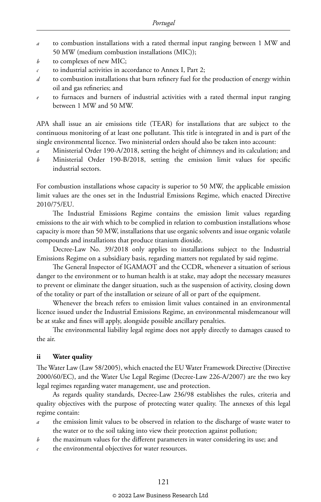- *a* to combustion installations with a rated thermal input ranging between 1 MW and 50 MW (medium combustion installations (MIC));
- *b* to complexes of new MIC;
- *c* to industrial activities in accordance to Annex I, Part 2;
- *d* to combustion installations that burn refinery fuel for the production of energy within oil and gas refineries; and
- *e* to furnaces and burners of industrial activities with a rated thermal input ranging between 1 MW and 50 MW.

APA shall issue an air emissions title (TEAR) for installations that are subject to the continuous monitoring of at least one pollutant. This title is integrated in and is part of the single environmental licence. Two ministerial orders should also be taken into account:

- Ministerial Order 190-A/2018, setting the height of chimneys and its calculation; and
- *b* Ministerial Order 190-B/2018, setting the emission limit values for specific industrial sectors.

For combustion installations whose capacity is superior to 50 MW, the applicable emission limit values are the ones set in the Industrial Emissions Regime, which enacted Directive 2010/75/EU.

The Industrial Emissions Regime contains the emission limit values regarding emissions to the air with which to be complied in relation to combustion installations whose capacity is more than 50 MW, installations that use organic solvents and issue organic volatile compounds and installations that produce titanium dioxide.

Decree-Law No. 39/2018 only applies to installations subject to the Industrial Emissions Regime on a subsidiary basis, regarding matters not regulated by said regime.

The General Inspector of IGAMAOT and the CCDR, whenever a situation of serious danger to the environment or to human health is at stake, may adopt the necessary measures to prevent or eliminate the danger situation, such as the suspension of activity, closing down of the totality or part of the installation or seizure of all or part of the equipment.

Whenever the breach refers to emission limit values contained in an environmental licence issued under the Industrial Emissions Regime, an environmental misdemeanour will be at stake and fines will apply, alongside possible ancillary penalties.

The environmental liability legal regime does not apply directly to damages caused to the air.

#### **ii Water quality**

The Water Law (Law 58/2005), which enacted the EU Water Framework Directive (Directive 2000/60/EC), and the Water Use Legal Regime (Decree-Law 226-A/2007) are the two key legal regimes regarding water management, use and protection.

As regards quality standards, Decree-Law 236/98 establishes the rules, criteria and quality objectives with the purpose of protecting water quality. The annexes of this legal regime contain:

- *a* the emission limit values to be observed in relation to the discharge of waste water to the water or to the soil taking into view their protection against pollution;
- *b* the maximum values for the different parameters in water considering its use; and
- *c* the environmental objectives for water resources.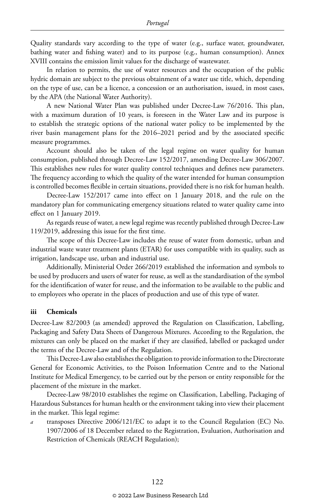Quality standards vary according to the type of water (e.g., surface water, groundwater, bathing water and fishing water) and to its purpose (e.g., human consumption). Annex XVIII contains the emission limit values for the discharge of wastewater.

In relation to permits, the use of water resources and the occupation of the public hydric domain are subject to the previous obtainment of a water use title, which, depending on the type of use, can be a licence, a concession or an authorisation, issued, in most cases, by the APA (the National Water Authority).

A new National Water Plan was published under Decree-Law 76/2016. This plan, with a maximum duration of 10 years, is foreseen in the Water Law and its purpose is to establish the strategic options of the national water policy to be implemented by the river basin management plans for the 2016–2021 period and by the associated specific measure programmes.

Account should also be taken of the legal regime on water quality for human consumption, published through Decree-Law 152/2017, amending Decree-Law 306/2007. This establishes new rules for water quality control techniques and defines new parameters. The frequency according to which the quality of the water intended for human consumption is controlled becomes flexible in certain situations, provided there is no risk for human health.

Decree-Law 152/2017 came into effect on 1 January 2018, and the rule on the mandatory plan for communicating emergency situations related to water quality came into effect on 1 January 2019.

As regards reuse of water, a new legal regime was recently published through Decree-Law 119/2019, addressing this issue for the first time.

The scope of this Decree-Law includes the reuse of water from domestic, urban and industrial waste water treatment plants (ETAR) for uses compatible with its quality, such as irrigation, landscape use, urban and industrial use.

Additionally, Ministerial Order 266/2019 established the information and symbols to be used by producers and users of water for reuse, as well as the standardisation of the symbol for the identification of water for reuse, and the information to be available to the public and to employees who operate in the places of production and use of this type of water.

#### **iii Chemicals**

Decree-Law 82/2003 (as amended) approved the Regulation on Classification, Labelling, Packaging and Safety Data Sheets of Dangerous Mixtures. According to the Regulation, the mixtures can only be placed on the market if they are classified, labelled or packaged under the terms of the Decree-Law and of the Regulation.

This Decree-Law also establishes the obligation to provide information to the Directorate General for Economic Activities, to the Poison Information Centre and to the National Institute for Medical Emergency, to be carried out by the person or entity responsible for the placement of the mixture in the market.

Decree-Law 98/2010 establishes the regime on Classification, Labelling, Packaging of Hazardous Substances for human health or the environment taking into view their placement in the market. This legal regime:

*a* transposes Directive 2006/121/EC to adapt it to the Council Regulation (EC) No. 1907/2006 of 18 December related to the Registration, Evaluation, Authorisation and Restriction of Chemicals (REACH Regulation);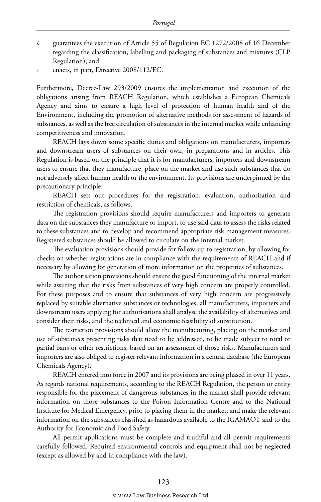- *b* guarantees the execution of Article 55 of Regulation EC 1272/2008 of 16 December regarding the classification, labelling and packaging of substances and mixtures (CLP Regulation); and
- *c* enacts, in part, Directive 2008/112/EC.

Furthermore, Decree-Law 293/2009 ensures the implementation and execution of the obligations arising from REACH Regulation, which establishes a European Chemicals Agency and aims to ensure a high level of protection of human health and of the Environment, including the promotion of alternative methods for assessment of hazards of substances, as well as the free circulation of substances in the internal market while enhancing competitiveness and innovation.

REACH lays down some specific duties and obligations on manufacturers, importers and downstream users of substances on their own, in preparations and in articles. This Regulation is based on the principle that it is for manufacturers, importers and downstream users to ensure that they manufacture, place on the market and use such substances that do not adversely affect human health or the environment. Its provisions are underpinned by the precautionary principle.

REACH sets out procedures for the registration, evaluation, authorisation and restriction of chemicals, as follows.

The registration provisions should require manufacturers and importers to generate data on the substances they manufacture or import, to use said data to assess the risks related to these substances and to develop and recommend appropriate risk management measures. Registered substances should be allowed to circulate on the internal market.

The evaluation provisions should provide for follow-up to registration, by allowing for checks on whether registrations are in compliance with the requirements of REACH and if necessary by allowing for generation of more information on the properties of substances.

The authorisation provisions should ensure the good functioning of the internal market while assuring that the risks from substances of very high concern are properly controlled. For these purposes and to ensure that substances of very high concern are progressively replaced by suitable alternative substances or technologies, all manufacturers, importers and downstream users applying for authorisations shall analyse the availability of alternatives and consider their risks, and the technical and economic feasibility of substitution.

The restriction provisions should allow the manufacturing, placing on the market and use of substances presenting risks that need to be addressed, to be made subject to total or partial bans or other restrictions, based on an assessment of those risks. Manufacturers and importers are also obliged to register relevant information in a central database (the European Chemicals Agency).

REACH entered into force in 2007 and its provisions are being phased in over 11 years. As regards national requirements, according to the REACH Regulation, the person or entity responsible for the placement of dangerous substances in the market shall provide relevant information on those substances to the Poison Information Centre and to the National Institute for Medical Emergency, prior to placing them in the market; and make the relevant information on the substances classified as hazardous available to the IGAMAOT and to the Authority for Economic and Food Safety.

All permit applications must be complete and truthful and all permit requirements carefully followed. Required environmental controls and equipment shall not be neglected (except as allowed by and in compliance with the law).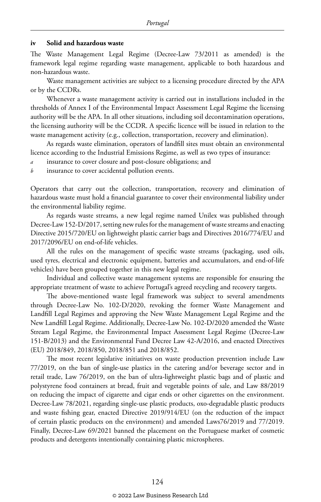#### **iv Solid and hazardous waste**

The Waste Management Legal Regime (Decree-Law 73/2011 as amended) is the framework legal regime regarding waste management, applicable to both hazardous and non-hazardous waste.

Waste management activities are subject to a licensing procedure directed by the APA or by the CCDRs.

Whenever a waste management activity is carried out in installations included in the thresholds of Annex I of the Environmental Impact Assessment Legal Regime the licensing authority will be the APA. In all other situations, including soil decontamination operations, the licensing authority will be the CCDR. A specific licence will be issued in relation to the waste management activity (e.g., collection, transportation, recovery and elimination).

As regards waste elimination, operators of landfill sites must obtain an environmental licence according to the Industrial Emissions Regime, as well as two types of insurance:

*a* insurance to cover closure and post-closure obligations; and

*b* insurance to cover accidental pollution events.

Operators that carry out the collection, transportation, recovery and elimination of hazardous waste must hold a financial guarantee to cover their environmental liability under the environmental liability regime.

As regards waste streams, a new legal regime named Unilex was published through Decree-Law 152-D/2017, setting new rules for the management of waste streams and enacting Directive 2015/720/EU on lightweight plastic carrier bags and Directives 2016/774/EU and 2017/2096/EU on end-of-life vehicles.

All the rules on the management of specific waste streams (packaging, used oils, used tyres, electrical and electronic equipment, batteries and accumulators, and end-of-life vehicles) have been grouped together in this new legal regime.

Individual and collective waste management systems are responsible for ensuring the appropriate treatment of waste to achieve Portugal's agreed recycling and recovery targets.

The above-mentioned waste legal framework was subject to several amendments through Decree-Law No. 102-D/2020, revoking the former Waste Management and Landfill Legal Regimes and approving the New Waste Management Legal Regime and the New Landfill Legal Regime. Additionally, Decree-Law No. 102-D/2020 amended the Waste Stream Legal Regime, the Environmental Impact Assessment Legal Regime (Decree-Law 151-B/2013) and the Environmental Fund Decree Law 42-A/2016, and enacted Directives (EU) 2018/849, 2018/850, 2018/851 and 2018/852.

The most recent legislative initiatives on waste production prevention include Law 77/2019, on the ban of single-use plastics in the catering and/or beverage sector and in retail trade, Law 76/2019, on the ban of ultra-lightweight plastic bags and of plastic and polystyrene food containers at bread, fruit and vegetable points of sale, and Law 88/2019 on reducing the impact of cigarette and cigar ends or other cigarettes on the environment. Decree-Law 78/2021, regarding single-use plastic products, oxo-degradable plastic products and waste fishing gear, enacted Directive 2019/914/EU (on the reduction of the impact of certain plastic products on the environment) and amended Laws76/2019 and 77/2019. Finally, Decree-Law 69/2021 banned the placement on the Portuguese market of cosmetic products and detergents intentionally containing plastic microspheres.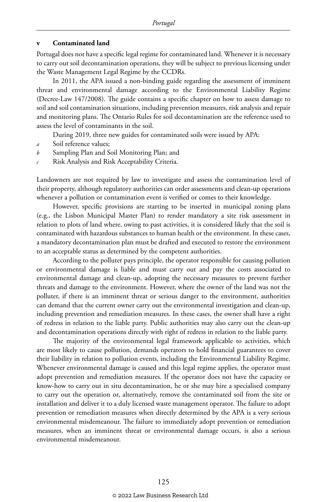#### **v Contaminated land**

Portugal does not have a specific legal regime for contaminated land. Whenever it is necessary to carry out soil decontamination operations, they will be subject to previous licensing under the Waste Management Legal Regime by the CCDRs.

In 2011, the APA issued a non-binding guide regarding the assessment of imminent threat and environmental damage according to the Environmental Liability Regime (Decree-Law 147/2008). The guide contains a specific chapter on how to assess damage to soil and soil contamination situations, including prevention measures, risk analysis and repair and monitoring plans. The Ontario Rules for soil decontamination are the reference used to assess the level of contaminants in the soil.

During 2019, three new guides for contaminated soils were issued by APA:

- *a* Soil reference values;
- *b* Sampling Plan and Soil Monitoring Plan; and
- *c* Risk Analysis and Risk Acceptability Criteria.

Landowners are not required by law to investigate and assess the contamination level of their property, although regulatory authorities can order assessments and clean-up operations whenever a pollution or contamination event is verified or comes to their knowledge.

However, specific provisions are starting to be inserted in municipal zoning plans (e.g., the Lisbon Municipal Master Plan) to render mandatory a site risk assessment in relation to plots of land where, owing to past activities, it is considered likely that the soil is contaminated with hazardous substances to human health or the environment. In these cases, a mandatory decontamination plan must be drafted and executed to restore the environment to an acceptable status as determined by the competent authorities.

According to the polluter pays principle, the operator responsible for causing pollution or environmental damage is liable and must carry out and pay the costs associated to environmental damage and clean-up, adopting the necessary measures to prevent further threats and damage to the environment. However, where the owner of the land was not the polluter, if there is an imminent threat or serious danger to the environment, authorities can demand that the current owner carry out the environmental investigation and clean-up, including prevention and remediation measures. In these cases, the owner shall have a right of redress in relation to the liable party. Public authorities may also carry out the clean-up and decontamination operations directly with right of redress in relation to the liable party.

The majority of the environmental legal framework applicable to activities, which are most likely to cause pollution, demands operators to hold financial guarantees to cover their liability in relation to pollution events, including the Environmental Liability Regime. Whenever environmental damage is caused and this legal regime applies, the operator must adopt prevention and remediation measures. If the operator does not have the capacity or know-how to carry out in situ decontamination, he or she may hire a specialised company to carry out the operation or, alternatively, remove the contaminated soil from the site or installation and deliver it to a duly licensed waste management operator. The failure to adopt prevention or remediation measures when directly determined by the APA is a very serious environmental misdemeanour. The failure to immediately adopt prevention or remediation measures, when an imminent threat or environmental damage occurs, is also a serious environmental misdemeanour.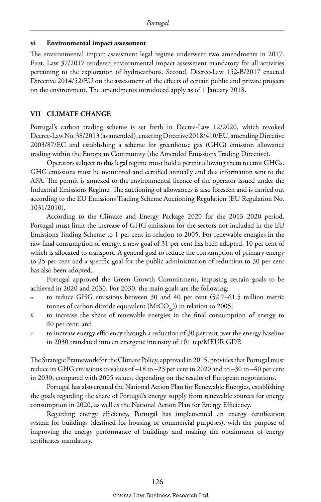#### **vi Environmental impact assessment**

The environmental impact assessment legal regime underwent two amendments in 2017. First, Law 37/2017 rendered environmental impact assessment mandatory for all activities pertaining to the exploration of hydrocarbons. Second, Decree-Law 152-B/2017 enacted Directive 2014/52/EU on the assessment of the effects of certain public and private projects on the environment. The amendments introduced apply as of 1 January 2018.

#### **VII CLIMATE CHANGE**

Portugal's carbon trading scheme is set forth in Decree-Law 12/2020, which revoked Decree-Law No. 38/2013 (as amended), enacting Directive 2018/410/EU, amending Directive 2003/87/EC and establishing a scheme for greenhouse gas (GHG) emission allowance trading within the European Community (the Amended Emissions Trading Directive).

Operators subject to this legal regime must hold a permit allowing them to emit GHGs. GHG emissions must be monitored and certified annually and this information sent to the APA. The permit is annexed to the environmental licence of the operator issued under the Industrial Emissions Regime. The auctioning of allowances is also foreseen and is carried out according to the EU Emissions Trading Scheme Auctioning Regulation (EU Regulation No. 1031/2010).

According to the Climate and Energy Package 2020 for the 2013–2020 period, Portugal must limit the increase of GHG emissions for the sectors not included in the EU Emissions Trading Scheme to 1 per cent in relation to 2005. For renewable energies in the raw final consumption of energy, a new goal of 31 per cent has been adopted, 10 per cent of which is allocated to transport. A general goal to reduce the consumption of primary energy to 25 per cent and a specific goal for the public administration of reduction to 30 per cent has also been adopted.

Portugal approved the Green Growth Commitment, imposing certain goals to be achieved in 2020 and 2030. For 2030, the main goals are the following:

- *a* to reduce GHG emissions between 30 and 40 per cent (52.7–61.5 million metric tonnes of carbon dioxide equivalent  $(MtCO<sub>2</sub>)$ ) in relation to 2005;
- *b* to increase the share of renewable energies in the final consumption of energy to 40 per cent; and
- *c* to increase energy efficiency through a reduction of 30 per cent over the energy baseline in 2030 translated into an energetic intensity of 101 tep/MEUR GDP.

The Strategic Framework for the Climate Policy, approved in 2015, provides that Portugal must reduce its GHG emissions to values of –18 to –23 per cent in 2020 and to –30 to –40 per cent in 2030, compared with 2005 values, depending on the results of European negotiations.

Portugal has also created the National Action Plan for Renewable Energies, establishing the goals regarding the share of Portugal's energy supply from renewable sources for energy consumption in 2020, as well as the National Action Plan for Energy Efficiency.

Regarding energy efficiency, Portugal has implemented an energy certification system for buildings (destined for housing or commercial purposes), with the purpose of improving the energy performance of buildings and making the obtainment of energy certificates mandatory.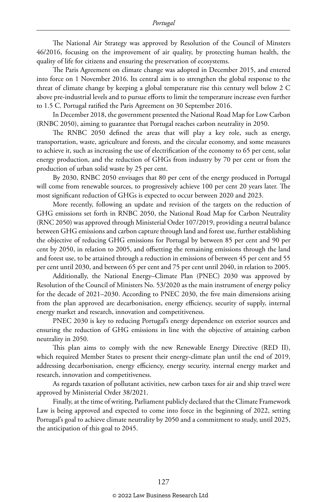The National Air Strategy was approved by Resolution of the Council of Minsters 46/2016, focusing on the improvement of air quality, by protecting human health, the quality of life for citizens and ensuring the preservation of ecosystems.

The Paris Agreement on climate change was adopted in December 2015, and entered into force on 1 November 2016. Its central aim is to strengthen the global response to the threat of climate change by keeping a global temperature rise this century well below 2 C above pre-industrial levels and to pursue efforts to limit the temperature increase even further to 1.5 C. Portugal ratified the Paris Agreement on 30 September 2016.

In December 2018, the government presented the National Road Map for Low Carbon (RNBC 2050), aiming to guarantee that Portugal reaches carbon neutrality in 2050.

The RNBC 2050 defined the areas that will play a key role, such as energy, transportation, waste, agriculture and forests, and the circular economy, and some measures to achieve it, such as increasing the use of electrification of the economy to 65 per cent, solar energy production, and the reduction of GHGs from industry by 70 per cent or from the production of urban solid waste by 25 per cent.

By 2030, RNBC 2050 envisages that 80 per cent of the energy produced in Portugal will come from renewable sources, to progressively achieve 100 per cent 20 years later. The most significant reduction of GHGs is expected to occur between 2020 and 2023.

More recently, following an update and revision of the targets on the reduction of GHG emissions set forth in RNBC 2050, the National Road Map for Carbon Neutrality (RNC 2050) was approved through Ministerial Order 107/2019, providing a neutral balance between GHG emissions and carbon capture through land and forest use, further establishing the objective of reducing GHG emissions for Portugal by between 85 per cent and 90 per cent by 2050, in relation to 2005, and offsetting the remaining emissions through the land and forest use, to be attained through a reduction in emissions of between 45 per cent and 55 per cent until 2030, and between 65 per cent and 75 per cent until 2040, in relation to 2005.

Additionally, the National Energy–Climate Plan (PNEC) 2030 was approved by Resolution of the Council of Ministers No. 53/2020 as the main instrument of energy policy for the decade of 2021–2030. According to PNEC 2030, the five main dimensions arising from the plan approved are decarbonisation, energy efficiency, security of supply, internal energy market and research, innovation and competitiveness.

PNEC 2030 is key to reducing Portugal's energy dependence on exterior sources and ensuring the reduction of GHG emissions in line with the objective of attaining carbon neutrality in 2050.

This plan aims to comply with the new Renewable Energy Directive (RED II), which required Member States to present their energy-climate plan until the end of 2019, addressing decarbonisation, energy efficiency, energy security, internal energy market and research, innovation and competitiveness.

As regards taxation of pollutant activities, new carbon taxes for air and ship travel were approved by Ministerial Order 38/2021.

Finally, at the time of writing, Parliament publicly declared that the Climate Framework Law is being approved and expected to come into force in the beginning of 2022, setting Portugal's goal to achieve climate neutrality by 2050 and a commitment to study, until 2025, the anticipation of this goal to 2045.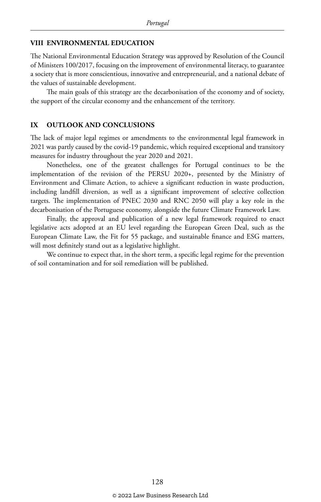#### **VIII ENVIRONMENTAL EDUCATION**

The National Environmental Education Strategy was approved by Resolution of the Council of Ministers 100/2017, focusing on the improvement of environmental literacy, to guarantee a society that is more conscientious, innovative and entrepreneurial, and a national debate of the values of sustainable development.

The main goals of this strategy are the decarbonisation of the economy and of society, the support of the circular economy and the enhancement of the territory.

#### **IX OUTLOOK AND CONCLUSIONS**

The lack of major legal regimes or amendments to the environmental legal framework in 2021 was partly caused by the covid-19 pandemic, which required exceptional and transitory measures for industry throughout the year 2020 and 2021.

Nonetheless, one of the greatest challenges for Portugal continues to be the implementation of the revision of the PERSU 2020+, presented by the Ministry of Environment and Climate Action, to achieve a significant reduction in waste production, including landfill diversion, as well as a significant improvement of selective collection targets. The implementation of PNEC 2030 and RNC 2050 will play a key role in the decarbonisation of the Portuguese economy, alongside the future Climate Framework Law.

Finally, the approval and publication of a new legal framework required to enact legislative acts adopted at an EU level regarding the European Green Deal, such as the European Climate Law, the Fit for 55 package, and sustainable finance and ESG matters, will most definitely stand out as a legislative highlight.

We continue to expect that, in the short term, a specific legal regime for the prevention of soil contamination and for soil remediation will be published.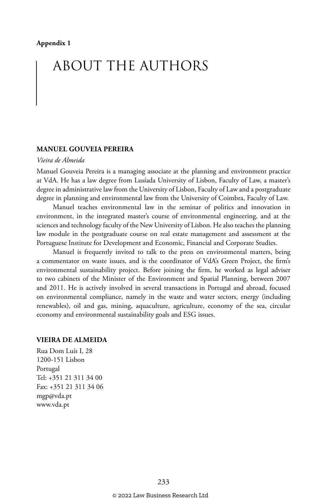# ABOUT THE AUTHORS

#### **MANUEL GOUVEIA PEREIRA**

#### *Vieira de Almeida*

Manuel Gouveia Pereira is a managing associate at the planning and environment practice at VdA. He has a law degree from Lusíada University of Lisbon, Faculty of Law, a master's degree in administrative law from the University of Lisbon, Faculty of Law and a postgraduate degree in planning and environmental law from the University of Coimbra, Faculty of Law.

Manuel teaches environmental law in the seminar of politics and innovation in environment, in the integrated master's course of environmental engineering, and at the sciences and technology faculty of the New University of Lisbon. He also teaches the planning law module in the postgraduate course on real estate management and assessment at the Portuguese Institute for Development and Economic, Financial and Corporate Studies.

Manuel is frequently invited to talk to the press on environmental matters, being a commentator on waste issues, and is the coordinator of VdA's Green Project, the firm's environmental sustainability project. Before joining the firm, he worked as legal adviser to two cabinets of the Minister of the Environment and Spatial Planning, between 2007 and 2011. He is actively involved in several transactions in Portugal and abroad, focused on environmental compliance, namely in the waste and water sectors, energy (including renewables), oil and gas, mining, aquaculture, agriculture, economy of the sea, circular economy and environmental sustainability goals and ESG issues.

#### **VIEIRA DE ALMEIDA**

Rua Dom Luís I, 28 1200-151 Lisbon Portugal Tel: +351 21 311 34 00 Fax: +351 21 311 34 06 mgp@vda.pt www.vda.pt